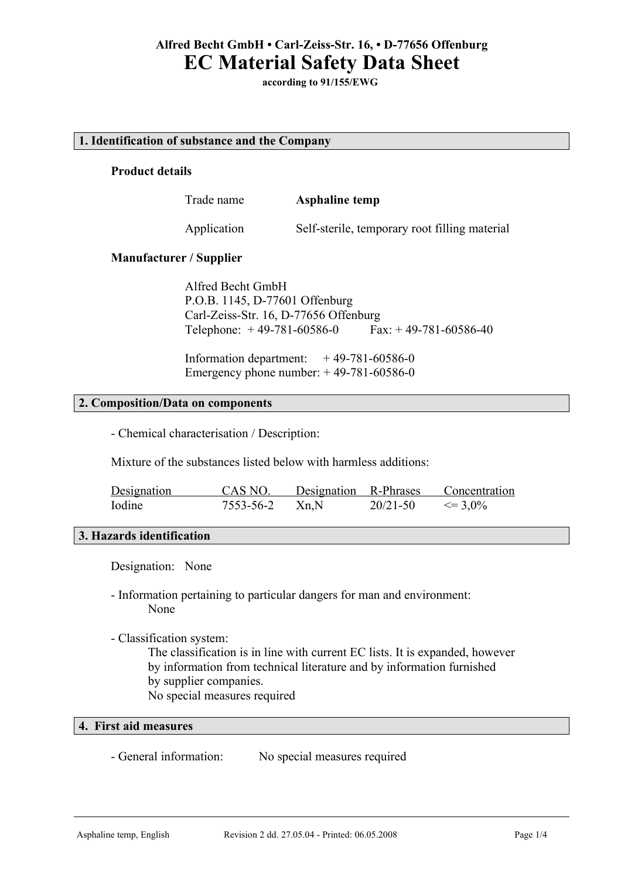**according to 91/155/EWG**

### **1. Identification of substance and the Company**

# **Product details**

Trade name **Asphaline temp**

Application Self-sterile, temporary root filling material

### **Manufacturer / Supplier**

Alfred Becht GmbH P.O.B. 1145, D-77601 Offenburg Carl-Zeiss-Str. 16, D-77656 Offenburg Telephone:  $+49-781-60586-0$  Fax:  $+49-781-60586-40$ 

Information department:  $+49-781-60586-0$ Emergency phone number:  $+49-781-60586-0$ 

### **2. Composition/Data on components**

- Chemical characterisation / Description:

Mixture of the substances listed below with harmless additions:

| Designation | CAS NO.          | Designation R-Phrases |              | Concentration |
|-------------|------------------|-----------------------|--------------|---------------|
| Iodine      | $7553-56-2$ Xn,N |                       | $20/21 - 50$ | $\leq 3.0\%$  |

## **3. Hazards identification**

Designation: None

- Information pertaining to particular dangers for man and environment: None
- Classification system:

The classification is in line with current EC lists. It is expanded, however by information from technical literature and by information furnished by supplier companies. No special measures required

# **4. First aid measures**

- General information: No special measures required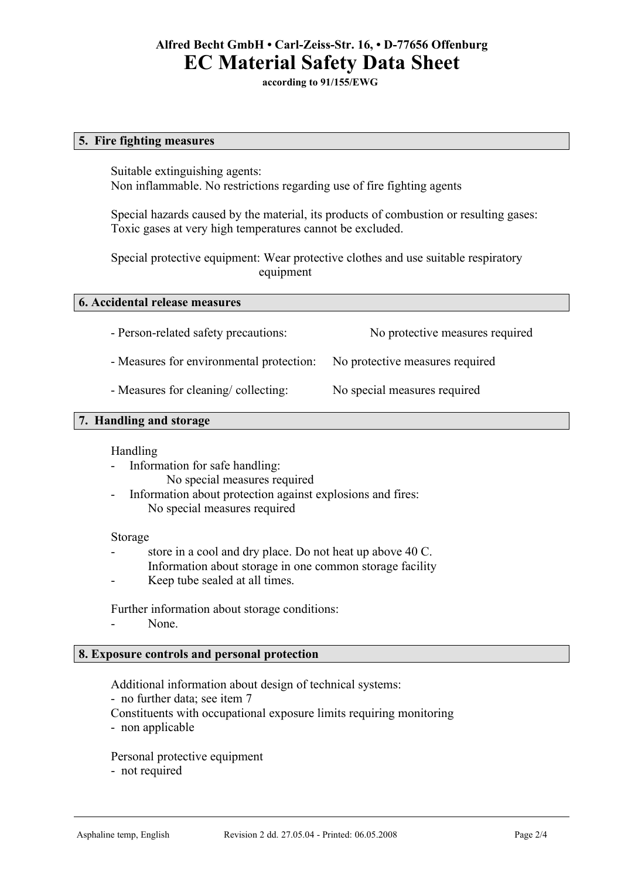**according to 91/155/EWG**

### **5. Fire fighting measures**

Suitable extinguishing agents: Non inflammable. No restrictions regarding use of fire fighting agents

Special hazards caused by the material, its products of combustion or resulting gases: Toxic gases at very high temperatures cannot be excluded.

Special protective equipment: Wear protective clothes and use suitable respiratory equipment

### **6. Accidental release measures**

- Person-related safety precautions: No protective measures required

- Measures for environmental protection: No protective measures required

- Measures for cleaning/ collecting: No special measures required

# **7. Handling and storage**

### Handling

- Information for safe handling: No special measures required
- Information about protection against explosions and fires: No special measures required

### Storage

- store in a cool and dry place. Do not heat up above 40 C.
- Information about storage in one common storage facility
- Keep tube sealed at all times.

Further information about storage conditions:

- None.

# **8. Exposure controls and personal protection**

Additional information about design of technical systems:

- no further data; see item 7
- Constituents with occupational exposure limits requiring monitoring
- non applicable

Personal protective equipment - not required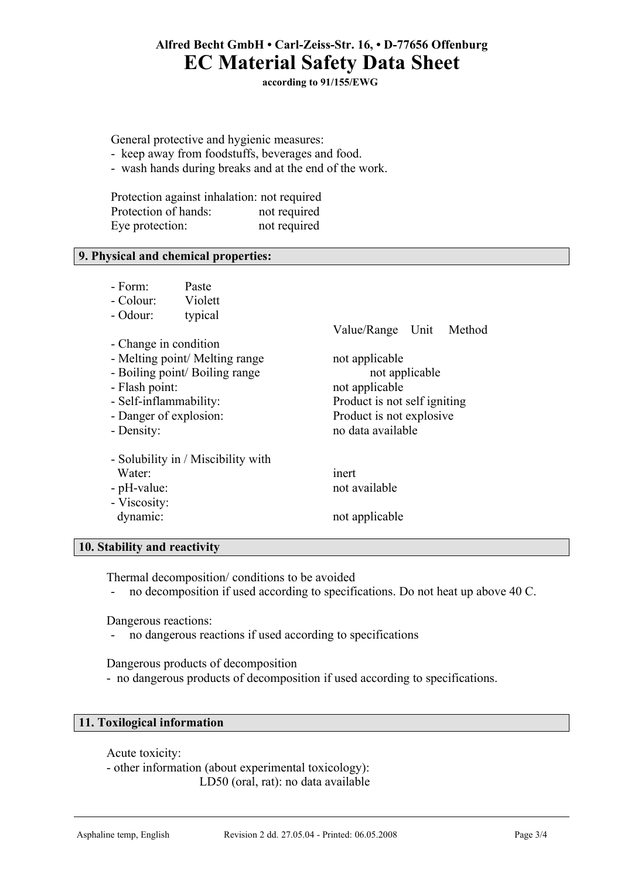**according to 91/155/EWG**

General protective and hygienic measures:

- keep away from foodstuffs, beverages and food.
- wash hands during breaks and at the end of the work.

Protection against inhalation: not required Protection of hands: not required Eye protection: not required

## **9. Physical and chemical properties:**

|            | - Form <sup>-</sup>    | Paste                              |                              |  |  |  |  |
|------------|------------------------|------------------------------------|------------------------------|--|--|--|--|
|            | - Colour:              | Violett                            |                              |  |  |  |  |
|            | - Odour:               | typical                            |                              |  |  |  |  |
|            |                        |                                    | Value/Range Unit Method      |  |  |  |  |
|            | - Change in condition  |                                    |                              |  |  |  |  |
|            |                        | - Melting point/ Melting range     | not applicable               |  |  |  |  |
|            |                        | - Boiling point/ Boiling range     | not applicable               |  |  |  |  |
|            | - Flash point:         |                                    | not applicable               |  |  |  |  |
|            | - Self-inflammability: |                                    | Product is not self igniting |  |  |  |  |
|            | - Danger of explosion: |                                    | Product is not explosive.    |  |  |  |  |
| - Density: |                        |                                    | no data available            |  |  |  |  |
|            |                        | - Solubility in / Miscibility with |                              |  |  |  |  |
|            | Water <sup>-</sup>     |                                    | inert                        |  |  |  |  |
|            | - pH-value:            |                                    | not available                |  |  |  |  |
|            | - Viscosity:           |                                    |                              |  |  |  |  |
|            | dynamic:               |                                    | not applicable               |  |  |  |  |
|            |                        |                                    |                              |  |  |  |  |

### **10. Stability and reactivity**

Thermal decomposition/ conditions to be avoided

- no decomposition if used according to specifications. Do not heat up above 40 C.

Dangerous reactions:

- no dangerous reactions if used according to specifications

Dangerous products of decomposition

- no dangerous products of decomposition if used according to specifications.

### **11. Toxilogical information**

Acute toxicity:

- other information (about experimental toxicology): LD50 (oral, rat): no data available